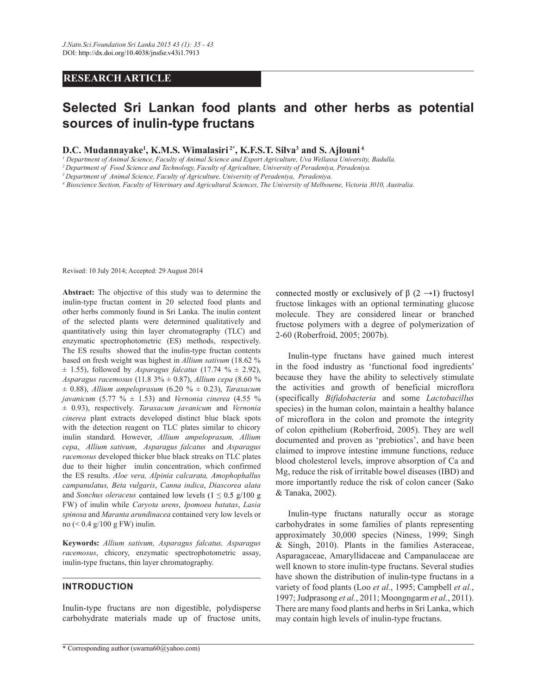# **RESEARCH ARTICLE**

# **Selected Sri Lankan food plants and other herbs as potential sources of inulin-type fructans**

**D.C. Mudannayake<sup>1</sup> , K.M.S. Wimalasiri 2\*, K.F.S.T. Silva<sup>3</sup> and S. Ajlouni<sup>4</sup>**

*1 Department of Animal Science, Faculty of Animal Science and Export Agriculture, Uva Wellassa University, Badulla.* 

*<sup>2</sup>Department of Food Science and Technology, Faculty of Agriculture, University of Peradeniya, Peradeniya.*

*<sup>3</sup>Department of Animal Science, Faculty of Agriculture, University of Peradeniya, Peradeniya.*

*4 Bioscience Section, Faculty of Veterinary and Agricultural Sciences, The University of Melbourne, Victoria 3010, Australia.*

Revised: 10 July 2014; Accepted: 29 August 2014

**Abstract:** The objective of this study was to determine the inulin-type fructan content in 20 selected food plants and other herbs commonly found in Sri Lanka. The inulin content of the selected plants were determined qualitatively and quantitatively using thin layer chromatography (TLC) and enzymatic spectrophotometric (ES) methods, respectively. The ES results showed that the inulin-type fructan contents based on fresh weight was highest in *Allium sativum* (18.62 %  $\pm$  1.55), followed by *Asparagus falcatus* (17.74 %  $\pm$  2.92), *Asparagus racemosus* (11.8 3% ± 0.87), *Allium cepa* (8.60 % ± 0.88), *Allium ampeloprasum* (6.20 % ± 0.23), *Taraxacum javanicum* (5.77 % ± 1.53) and *Vernonia cinerea* (4.55 % ± 0.93), respectively. *Taraxacum javanicum* and *Vernonia cinerea* plant extracts developed distinct blue black spots with the detection reagent on TLC plates similar to chicory inulin standard. However, *Allium ampeloprasum, Allium cepa*, *Allium sativum*, *Asparagus falcatus* and *Asparagus racemosus* developed thicker blue black streaks on TLC plates due to their higher inulin concentration, which confirmed the ES results. *Aloe vera, Alpinia calcarata, Amophophallus campanulatus, Beta vulgaris*, *Canna indica*, *Diascorea alata* and *Sonchus oleraceus* contained low levels  $(1 \le 0.5 \text{ g}/100 \text{ g})$ FW) of inulin while *Caryota urens*, *Ipomoea batatas*, *Lasia spinosa* and *Maranta arundinacea* contained very low levels or no (< 0.4 g/100 g FW) inulin.

**Keywords:** *Allium sativum, Asparagus falcatus, Asparagus racemosus*, chicory, enzymatic spectrophotometric assay, inulin-type fructans, thin layer chromatography.

## **INTRODUCTION**

Inulin-type fructans are non digestible, polydisperse carbohydrate materials made up of fructose units, connected mostly or exclusively of  $\beta$  (2  $\rightarrow$  1) fructosyl fructose linkages with an optional terminating glucose molecule. They are considered linear or branched fructose polymers with a degree of polymerization of 2-60 (Roberfroid, 2005; 2007b).

 Inulin-type fructans have gained much interest in the food industry as 'functional food ingredients' because they have the ability to selectively stimulate the activities and growth of beneficial microflora (specifically *Bifidobacteria* and some *Lactobacillus* species) in the human colon, maintain a healthy balance of microflora in the colon and promote the integrity of colon epithelium (Roberfroid, 2005). They are well documented and proven as 'prebiotics', and have been claimed to improve intestine immune functions, reduce blood cholesterol levels, improve absorption of Ca and Mg, reduce the risk of irritable bowel diseases (IBD) and more importantly reduce the risk of colon cancer (Sako & Tanaka, 2002).

 Inulin-type fructans naturally occur as storage carbohydrates in some families of plants representing approximately 30,000 species (Niness, 1999; Singh & Singh, 2010). Plants in the families Asteraceae, Asparagaceae, Amaryllidaceae and Campanulaceae are well known to store inulin-type fructans. Several studies have shown the distribution of inulin-type fructans in a variety of food plants (Loo *et al.*, 1995; Campbell *et al.*, 1997; Judprasong *et al.*, 2011; Moongngarm *et al.*, 2011). There are many food plants and herbs in Sri Lanka, which may contain high levels of inulin-type fructans.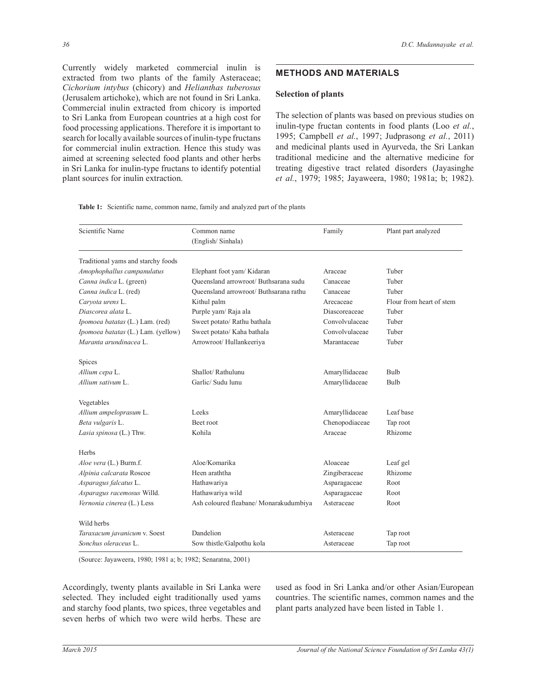Currently widely marketed commercial inulin is extracted from two plants of the family Asteraceae; *Cichorium intybus* (chicory) and *Helianthas tuberosus* (Jerusalem artichoke), which are not found in Sri Lanka. Commercial inulin extracted from chicory is imported to Sri Lanka from European countries at a high cost for food processing applications. Therefore it is important to search for locally available sources of inulin-type fructans for commercial inulin extraction. Hence this study was aimed at screening selected food plants and other herbs in Sri Lanka for inulin-type fructans to identify potential plant sources for inulin extraction.

# **METHODS AND MATERIALS**

## **Selection of plants**

The selection of plants was based on previous studies on inulin-type fructan contents in food plants (Loo *et al.*, 1995; Campbell *et al.*, 1997; Judprasong *et al.*, 2011) and medicinal plants used in Ayurveda, the Sri Lankan traditional medicine and the alternative medicine for treating digestive tract related disorders (Jayasinghe *et al.*, 1979; 1985; Jayaweera, 1980; 1981a; b; 1982).

| <b>Table 1:</b> Scientific name, common name, family and analyzed part of the plants |  |
|--------------------------------------------------------------------------------------|--|
|--------------------------------------------------------------------------------------|--|

| Scientific Name                    | Common name                            | Family         | Plant part analyzed      |  |
|------------------------------------|----------------------------------------|----------------|--------------------------|--|
|                                    | (English/Sinhala)                      |                |                          |  |
| Traditional yams and starchy foods |                                        |                |                          |  |
| Amophophallus campanulatus         | Elephant foot yam/ Kidaran             | Araceae        | Tuber                    |  |
| Canna indica L. (green)            | Queensland arrowroot/ Buthsarana sudu  | Canaceae       | Tuber                    |  |
| Canna indica L. (red)              | Queensland arrowroot/ Buthsarana rathu | Canaceae       | Tuber                    |  |
| Caryota urens L.                   | Kithul palm                            | Arecaceae      | Flour from heart of stem |  |
| Diascorea alata L.                 | Purple yam/ Raja ala                   | Diascoreaceae  | Tuber                    |  |
| Ipomoea batatas (L.) Lam. (red)    | Sweet potato/ Rathu bathala            | Convolvulaceae | Tuber                    |  |
| Ipomoea batatas (L.) Lam. (yellow) | Sweet potato/ Kaha bathala             | Convolvulaceae | Tuber                    |  |
| Maranta arundinacea L.             | Arrowroot/Hullankeeriya                | Marantaceae    | Tuber                    |  |
| Spices                             |                                        |                |                          |  |
| Allium cepa L.                     | Shallot/Rathulunu                      | Amaryllidaceae | Bulb                     |  |
| Allium sativum L.                  | Garlic/ Sudu lunu                      | Amaryllidaceae | Bulb                     |  |
| Vegetables                         |                                        |                |                          |  |
| Allium ampeloprasum L.             | Leeks                                  | Amaryllidaceae | Leaf base                |  |
| Beta vulgaris L.                   | Beet root                              | Chenopodiaceae | Tap root                 |  |
| Lasia spinosa (L.) Thw.            | Kohila                                 | Araceae        | Rhizome                  |  |
| Herbs                              |                                        |                |                          |  |
| Aloe vera (L.) Burm.f.             | Aloe/Komarika                          | Aloaceae       | Leaf gel                 |  |
| Alpinia calcarata Roscoe           | Heen araththa                          | Zingiberaceae  | Rhizome                  |  |
| Asparagus falcatus L.              | Hathawariya                            | Asparagaceae   | Root                     |  |
| Asparagus racemosus Willd.         | Hathawariya wild                       | Asparagaceae   | Root                     |  |
| Vernonia cinerea (L.) Less         | Ash coloured fleabane/ Monarakudumbiya | Asteraceae     | Root                     |  |
| Wild herbs                         |                                        |                |                          |  |
| Taraxacum javanicum v. Soest       | Dandelion                              | Asteraceae     | Tap root                 |  |
| Sonchus oleraceus L.               | Sow thistle/Galpothu kola              | Asteraceae     | Tap root                 |  |

(Source: Jayaweera, 1980; 1981 a; b; 1982; Senaratna, 2001)

Accordingly, twenty plants available in Sri Lanka were selected. They included eight traditionally used yams and starchy food plants, two spices, three vegetables and seven herbs of which two were wild herbs. These are used as food in Sri Lanka and/or other Asian/European countries. The scientific names, common names and the plant parts analyzed have been listed in Table 1.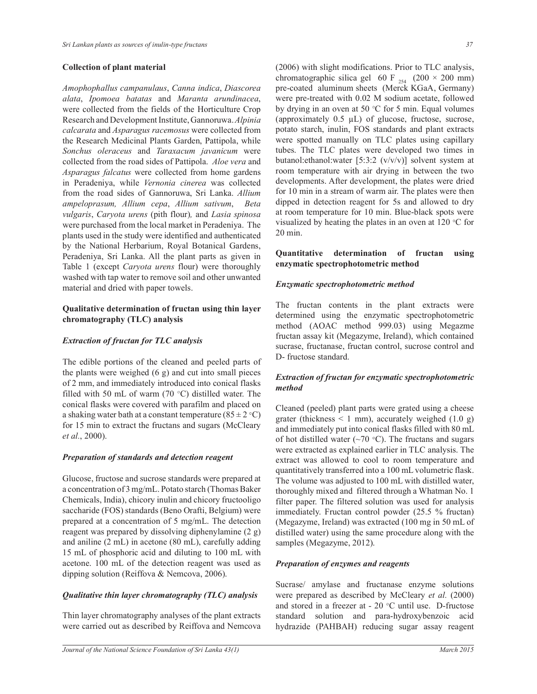#### **Collection of plant material**

*Amophophallus campanulaus*, *Canna indica*, *Diascorea alata*, *Ipomoea batatas* and *Maranta arundinacea*, were collected from the fields of the Horticulture Crop Research and Development Institute, Gannoruwa. *Alpinia calcarata* and *Asparagus racemosus* were collected from the Research Medicinal Plants Garden, Pattipola, while *Sonchus oleraceus* and *Taraxacum javanicum* were collected from the road sides of Pattipola. *Aloe vera* and *Asparagus falcatus* were collected from home gardens in Peradeniya, while *Vernonia cinerea* was collected from the road sides of Gannoruwa, Sri Lanka. *Allium ampeloprasum, Allium cepa*, *Allium sativum*, *Beta vulgaris*, *Caryota urens* (pith flour)*,* and *Lasia spinosa*  were purchased from the local market in Peradeniya. The plants used in the study were identified and authenticated by the National Herbarium, Royal Botanical Gardens, Peradeniya, Sri Lanka. All the plant parts as given in Table 1 (except *Caryota urens* flour) were thoroughly washed with tap water to remove soil and other unwanted material and dried with paper towels.

# **Qualitative determination of fructan using thin layer chromatography (TLC) analysis**

## *Extraction of fructan for TLC analysis*

The edible portions of the cleaned and peeled parts of the plants were weighed  $(6 \text{ g})$  and cut into small pieces of 2 mm, and immediately introduced into conical flasks filled with 50 mL of warm (70  $\degree$ C) distilled water. The conical flasks were covered with parafilm and placed on a shaking water bath at a constant temperature  $(85 \pm 2 \degree C)$ for 15 min to extract the fructans and sugars (McCleary *et al.*, 2000).

## *Preparation of standards and detection reagent*

Glucose, fructose and sucrose standards were prepared at a concentration of 3 mg/mL. Potato starch (Thomas Baker Chemicals, India), chicory inulin and chicory fructooligo saccharide (FOS) standards (Beno Orafti, Belgium) were prepared at a concentration of 5 mg/mL. The detection reagent was prepared by dissolving diphenylamine (2 g) and aniline (2 mL) in acetone (80 mL), carefully adding 15 mL of phosphoric acid and diluting to 100 mL with acetone. 100 mL of the detection reagent was used as dipping solution (Reiffova & Nemcova, 2006).

## *Qualitative thin layer chromatography (TLC) analysis*

Thin layer chromatography analyses of the plant extracts were carried out as described by Reiffova and Nemcova

(2006) with slight modifications. Prior to TLC analysis, chromatographic silica gel 60 F  $_{254}$  (200 × 200 mm) pre-coated aluminum sheets (Merck KGaA, Germany) were pre-treated with 0.02 M sodium acetate, followed by drying in an oven at 50  $\degree$ C for 5 min. Equal volumes (approximately  $0.5 \mu L$ ) of glucose, fructose, sucrose, potato starch, inulin, FOS standards and plant extracts were spotted manually on TLC plates using capillary tubes. The TLC plates were developed two times in butanol:ethanol:water [5:3:2 (v/v/v)] solvent system at room temperature with air drying in between the two developments. After development, the plates were dried for 10 min in a stream of warm air. The plates were then dipped in detection reagent for 5s and allowed to dry at room temperature for 10 min. Blue-black spots were visualized by heating the plates in an oven at  $120 °C$  for 20 min.

## **Quantitative determination of fructan using enzymatic spectrophotometric method**

## *Enzymatic spectrophotometric method*

The fructan contents in the plant extracts were determined using the enzymatic spectrophotometric method (AOAC method 999.03) using Megazme fructan assay kit (Megazyme, Ireland), which contained sucrase, fructanase, fructan control, sucrose control and D- fructose standard.

## *Extraction of fructan for enzymatic spectrophotometric method*

Cleaned (peeled) plant parts were grated using a cheese grater (thickness  $\leq 1$  mm), accurately weighed (1.0 g) and immediately put into conical flasks filled with 80 mL of hot distilled water ( $\sim$ 70 °C). The fructans and sugars were extracted as explained earlier in TLC analysis. The extract was allowed to cool to room temperature and quantitatively transferred into a 100 mL volumetric flask. The volume was adjusted to 100 mL with distilled water, thoroughly mixed and filtered through a Whatman No. 1 filter paper. The filtered solution was used for analysis immediately. Fructan control powder (25.5 % fructan) (Megazyme, Ireland) was extracted (100 mg in 50 mL of distilled water) using the same procedure along with the samples (Megazyme, 2012).

## *Preparation of enzymes and reagents*

Sucrase/ amylase and fructanase enzyme solutions were prepared as described by McCleary *et al.* (2000) and stored in a freezer at  $-20$  °C until use. D-fructose standard solution and para-hydroxybenzoic acid hydrazide (PAHBAH) reducing sugar assay reagent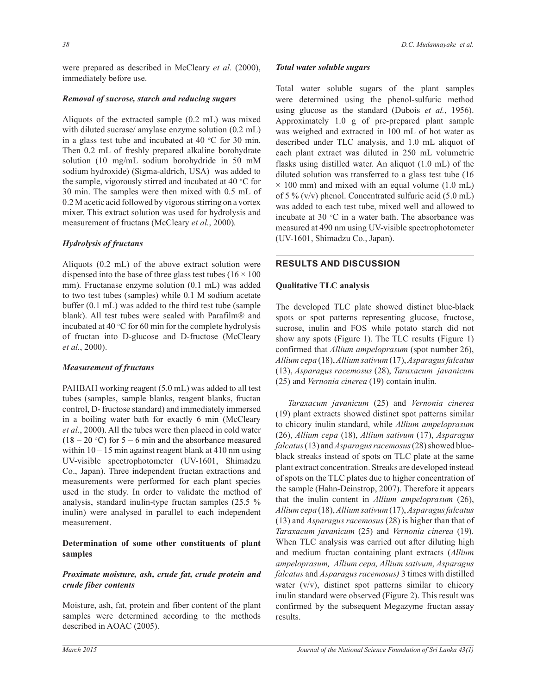were prepared as described in McCleary *et al.* (2000), immediately before use.

#### *Removal of sucrose, starch and reducing sugars*

Aliquots of the extracted sample (0.2 mL) was mixed with diluted sucrase/ amylase enzyme solution (0.2 mL) in a glass test tube and incubated at 40  $\degree$ C for 30 min. Then 0.2 mL of freshly prepared alkaline borohydrate solution (10 mg/mL sodium borohydride in 50 mM sodium hydroxide) (Sigma-aldrich, USA) was added to the sample, vigorously stirred and incubated at 40  $\degree$ C for 30 min. The samples were then mixed with 0.5 mL of 0.2 M acetic acid followed by vigorous stirring on a vortex mixer. This extract solution was used for hydrolysis and measurement of fructans (McCleary *et al.*, 2000).

## *Hydrolysis of fructans*

Aliquots (0.2 mL) of the above extract solution were dispensed into the base of three glass test tubes  $(16 \times 100)$ mm). Fructanase enzyme solution (0.1 mL) was added to two test tubes (samples) while 0.1 M sodium acetate buffer (0.1 mL) was added to the third test tube (sample blank). All test tubes were sealed with Parafilm® and incubated at 40 $\degree$ C for 60 min for the complete hydrolysis of fructan into D-glucose and D-fructose (McCleary *et al.*, 2000).

#### *Measurement of fructans*

PAHBAH working reagent (5.0 mL) was added to all test tubes (samples, sample blanks, reagent blanks, fructan control, D- fructose standard) and immediately immersed in a boiling water bath for exactly 6 min (McCleary *et al.*, 2000). All the tubes were then placed in cold water  $(18-20$  °C) for 5 – 6 min and the absorbance measured within  $10 - 15$  min against reagent blank at 410 nm using UV-visible spectrophotometer (UV-1601, Shimadzu Co., Japan). Three independent fructan extractions and measurements were performed for each plant species used in the study. In order to validate the method of analysis, standard inulin-type fructan samples (25.5 % inulin) were analysed in parallel to each independent measurement.

## **Determination of some other constituents of plant samples**

## *Proximate moisture, ash, crude fat, crude protein and crude fiber contents*

Moisture, ash, fat, protein and fiber content of the plant samples were determined according to the methods described in AOAC (2005).

# *Total water soluble sugars*

Total water soluble sugars of the plant samples were determined using the phenol-sulfuric method using glucose as the standard (Dubois *et al.*, 1956). Approximately 1.0 g of pre-prepared plant sample was weighed and extracted in 100 mL of hot water as described under TLC analysis, and 1.0 mL aliquot of each plant extract was diluted in 250 mL volumetric flasks using distilled water. An aliquot (1.0 mL) of the diluted solution was transferred to a glass test tube (16  $\times$  100 mm) and mixed with an equal volume (1.0 mL) of 5 %  $(v/v)$  phenol. Concentrated sulfuric acid (5.0 mL) was added to each test tube, mixed well and allowed to incubate at 30  $\degree$ C in a water bath. The absorbance was measured at 490 nm using UV-visible spectrophotometer (UV-1601, Shimadzu Co., Japan).

## **RESULTS AND DISCUSSION**

## **Qualitative TLC analysis**

The developed TLC plate showed distinct blue-black spots or spot patterns representing glucose, fructose, sucrose, inulin and FOS while potato starch did not show any spots (Figure 1). The TLC results (Figure 1) confirmed that *Allium ampeloprasum* (spot number 26), *Allium cepa* (18), *Allium sativum* (17), *Asparagus falcatus*  (13), *Asparagus racemosus* (28), *Taraxacum javanicum* (25) and *Vernonia cinerea* (19) contain inulin.

*Taraxacum javanicum* (25) and *Vernonia cinerea* (19) plant extracts showed distinct spot patterns similar to chicory inulin standard, while *Allium ampeloprasum*  (26), *Allium cepa* (18), *Allium sativum* (17), *Asparagus falcatus* (13) and *Asparagus racemosus* (28) showed blueblack streaks instead of spots on TLC plate at the same plant extract concentration. Streaks are developed instead of spots on the TLC plates due to higher concentration of the sample (Hahn-Deinstrop, 2007). Therefore it appears that the inulin content in *Allium ampeloprasum* (26), *Allium cepa* (18), *Allium sativum* (17), *Asparagus falcatus*  (13) and *Asparagus racemosus* (28) is higher than that of *Taraxacum javanicum* (25) and *Vernonia cinerea* (19). When TLC analysis was carried out after diluting high and medium fructan containing plant extracts (*Allium ampeloprasum, Allium cepa, Allium sativum*, *Asparagus falcatus* and *Asparagus racemosus)* 3 times with distilled water  $(v/v)$ , distinct spot patterns similar to chicory inulin standard were observed (Figure 2). This result was confirmed by the subsequent Megazyme fructan assay results.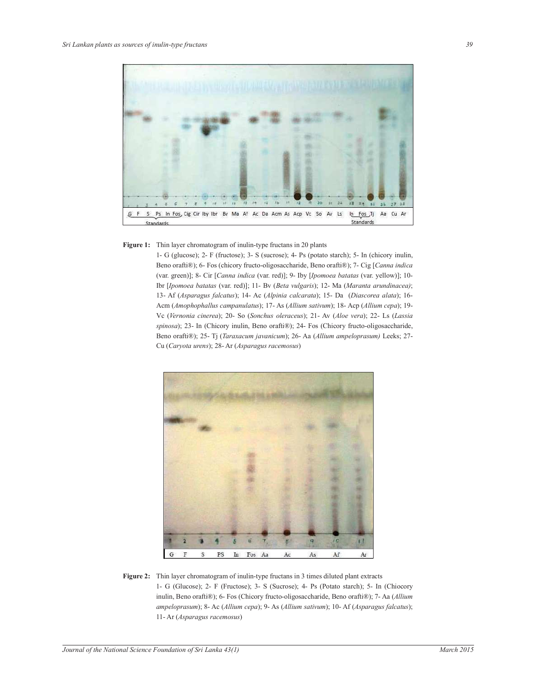

#### Figure 1: Thin layer chromatogram of inulin-type fructans in 20 plants

1- G (glucose); 2- F (fructose); 3- S (sucrose); 4- Ps (potato starch); 5- In (chicory inulin, Beno orafti®); 6- Fos (chicory fructo-oligosaccharide, Beno orafti®); 7- Cig [*Canna indica*  (var. green)]; 8- Cir [*Canna indica* (var. red)]; 9- Iby [*Ipomoea batatas* (var. yellow)]; 10- Ibr [*Ipomoea batatas* (var. red)]; 11- Bv (*Beta vulgaris*); 12- Ma (*Maranta arundinacea)*; 13- Af (*Asparagus falcatus*); 14- Ac (*Alpinia calcarata*); 15- Da (*Diascorea alata*); 16- Acm (*Amophophallus campanulatus*); 17- As (*Allium sativum*); 18- Acp (*Allium cepa*); 19- Vc (*Vernonia cinerea*); 20- So (*Sonchus oleraceus*); 21- Av (*Aloe vera*); 22- Ls (*Lassia spinosa*); 23- In (Chicory inulin, Beno orafti®); 24- Fos (Chicory fructo-oligosaccharide, Beno orafti®); 25- Tj (*Taraxacum javanicum*); 26- Aa (*Allium ampeloprasum)* Leeks; 27- Cu (*Caryota urens*); 28- Ar (*Asparagus racemosus*)



**Figure 2:** Thin layer chromatogram of inulin-type fructans in 3 times diluted plant extracts 1- G (Glucose); 2- F (Fructose); 3- S (Sucrose); 4- Ps (Potato starch); 5- In (Chiocory inulin, Beno orafti®); 6- Fos (Chicory fructo-oligosaccharide, Beno orafti®); 7- Aa (*Allium ampeloprasum*); 8- Ac (*Allium cepa*); 9- As (*Allium sativum*); 10- Af (*Asparagus falcatus*); 11- Ar (*Asparagus racemosus*)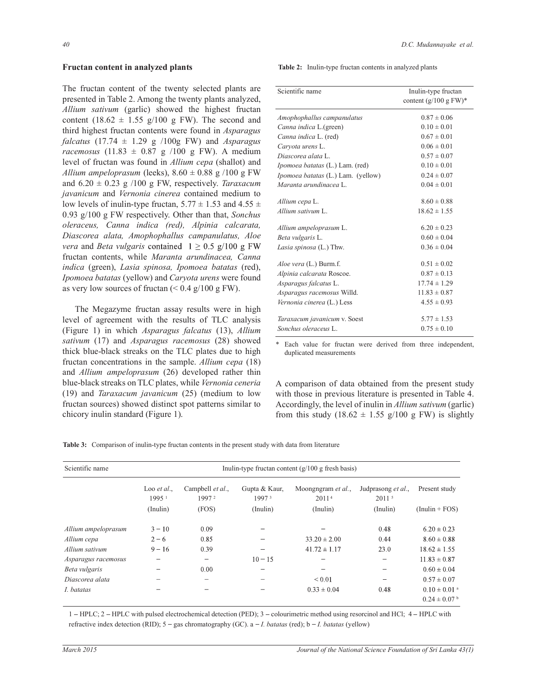#### **Fructan content in analyzed plants**

The fructan content of the twenty selected plants are presented in Table 2. Among the twenty plants analyzed, *Allium sativum* (garlic) showed the highest fructan content (18.62  $\pm$  1.55 g/100 g FW). The second and third highest fructan contents were found in *Asparagus falcatus* (17.74 ± 1.29 g /100g FW) and *Asparagus racemosus* (11.83 ± 0.87 g /100 g FW). A medium level of fructan was found in *Allium cepa* (shallot) and *Allium ampeloprasum* (leeks),  $8.60 \pm 0.88$  g /100 g FW and  $6.20 \pm 0.23$  g /100 g FW, respectively. *Taraxacum javanicum* and *Vernonia cinerea* contained medium to low levels of inulin-type fructan,  $5.77 \pm 1.53$  and  $4.55 \pm 1.53$ 0.93 g/100 g FW respectively. Other than that, *Sonchus oleraceus, Canna indica (red), Alpinia calcarata, Diascorea alata, Amophophallus campanulatus, Aloe vera* and *Beta vulgaris* contained  $1 \ge 0.5$  g/100 g FW fructan contents, while *Maranta arundinacea, Canna indica* (green), *Lasia spinosa, Ipomoea batatas* (red), *Ipomoea batatas* (yellow) and *Caryota urens* were found as very low sources of fructan  $(< 0.4 \text{ g}/100 \text{ gFW})$ .

 The Megazyme fructan assay results were in high level of agreement with the results of TLC analysis (Figure 1) in which *Asparagus falcatus* (13), *Allium sativum* (17) and *Asparagus racemosus* (28) showed thick blue-black streaks on the TLC plates due to high fructan concentrations in the sample. *Allium cepa* (18) and *Allium ampeloprasum* (26) developed rather thin blue-black streaks on TLC plates, while *Vernonia ceneria*  (19) and *Taraxacum javanicum* (25) (medium to low fructan sources) showed distinct spot patterns similar to chicory inulin standard (Figure 1).

**Table 2:** Inulin-type fructan contents in analyzed plants

| Scientific name                                                       | Inulin-type fructan<br>content $(g/100 \text{ g FW})^*$ |  |  |
|-----------------------------------------------------------------------|---------------------------------------------------------|--|--|
| Amophophallus campanulatus                                            | $0.87 \pm 0.06$                                         |  |  |
| Canna indica L.(green)                                                | $0.10 \pm 0.01$                                         |  |  |
| Canna indica L. (red)                                                 | $0.67 \pm 0.01$                                         |  |  |
| Carvota urens L.                                                      | $0.06 \pm 0.01$                                         |  |  |
| Diascorea alata L.                                                    | $0.57 \pm 0.07$                                         |  |  |
| <i>Ipomoea batatas</i> (L.) Lam. (red)                                | $0.10 \pm 0.01$                                         |  |  |
| Ipomoea batatas (L.) Lam. (yellow)                                    | $0.24 \pm 0.07$                                         |  |  |
| Maranta arundinacea L.                                                | $0.04 \pm 0.01$                                         |  |  |
| Allium cepa L.<br>Allium sativum L.                                   | $8.60 \pm 0.88$<br>$18.62 \pm 1.55$                     |  |  |
| Allium ampeloprasum L.<br>Beta vulgaris L.<br>Lasia spinosa (L.) Thw. | $6.20 \pm 0.23$<br>$0.60 \pm 0.04$<br>$0.36 \pm 0.04$   |  |  |
| Aloe vera (L.) Burm.f.<br>Alpinia calcarata Roscoe.                   | $0.51 \pm 0.02$<br>$0.87 \pm 0.13$                      |  |  |
| Asparagus falcatus L.                                                 | $17.74 \pm 1.29$                                        |  |  |
| Asparagus racemosus Willd.                                            | $11.83 \pm 0.87$                                        |  |  |
| Vernonia cinerea (L.) Less                                            | $4.55 \pm 0.93$                                         |  |  |
| Taraxacum javanicum v. Soest<br>Sonchus oleraceus L.                  | $5.77 \pm 1.53$<br>$0.75 \pm 0.10$                      |  |  |

\* Each value for fructan were derived from three independent, duplicated measurements

A comparison of data obtained from the present study with those in previous literature is presented in Table 4. Accordingly, the level of inulin in *Allium sativum* (garlic) from this study (18.62  $\pm$  1.55 g/100 g FW) is slightly

| Table 3: Comparison of inulin-type fructan contents in the present study with data from literature |
|----------------------------------------------------------------------------------------------------|
|----------------------------------------------------------------------------------------------------|

| Scientific name     | Inulin-type fructan content $(g/100 g$ fresh basis) |                                       |                                    |                                         |                                         |                              |
|---------------------|-----------------------------------------------------|---------------------------------------|------------------------------------|-----------------------------------------|-----------------------------------------|------------------------------|
|                     | Loo $et al.$<br>1995 <sup>1</sup>                   | Campbell et al.,<br>1997 <sup>2</sup> | Gupta & Kaur.<br>1997 <sup>3</sup> | Moongngram et al.,<br>2011 <sup>4</sup> | Judprasong et al.,<br>2011 <sup>5</sup> | Present study                |
|                     | (Inulin)                                            | (FOS)                                 | (Inulin)                           | (Inulin)                                | (Inulin)                                | $(Inulin + FOS)$             |
| Allium ampeloprasum | $3 - 10$                                            | 0.09                                  |                                    |                                         | 0.48                                    | $6.20 \pm 0.23$              |
| Allium cepa         | $2 - 6$                                             | 0.85                                  |                                    | $33.20 \pm 2.00$                        | 0.44                                    | $8.60 \pm 0.88$              |
| Allium sativum      | $9 - 16$                                            | 0.39                                  |                                    | $41.72 \pm 1.17$                        | 23.0                                    | $18.62 \pm 1.55$             |
| Asparagus racemosus |                                                     |                                       | $10 - 15$                          |                                         | -                                       | $11.83 \pm 0.87$             |
| Beta vulgaris       |                                                     | 0.00                                  |                                    |                                         |                                         | $0.60 \pm 0.04$              |
| Diascorea alata     |                                                     |                                       |                                    | ${}< 0.01$                              |                                         | $0.57 \pm 0.07$              |
| I. batatas          |                                                     |                                       |                                    | $0.33 \pm 0.04$                         | 0.48                                    | $0.10 \pm 0.01$ <sup>a</sup> |
|                     |                                                     |                                       |                                    |                                         |                                         | $0.24 \pm 0.07$ b            |

1 – HPLC; 2 – HPLC with pulsed electrochemical detection (PED); 3 – colourimetric method using resorcinol and HCl; 4 – HPLC with refractive index detection (RID);  $5 - gas$  chromatography (GC). a  $-I$ . *batatas* (red); b  $-I$ . *batatas* (yellow)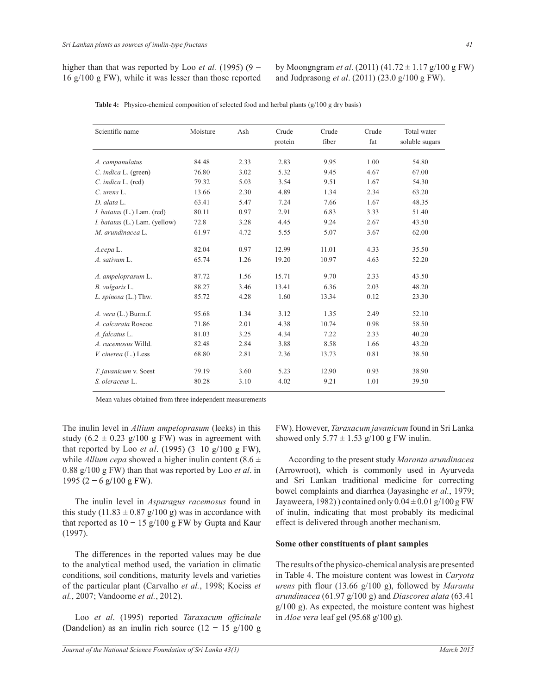by Moongngram *et al*. (2011) (41.72 ± 1.17 g/100 g FW) and Judprasong *et al*. (2011) (23.0 g/100 g FW).

| Scientific name               | Moisture | Ash  | Crude<br>protein | Crude<br>fiber | Crude<br>fat | Total water<br>soluble sugars |
|-------------------------------|----------|------|------------------|----------------|--------------|-------------------------------|
| A. campanulatus               | 84.48    | 2.33 | 2.83             | 9.95           | 1.00         | 54.80                         |
| C. indica L. (green)          | 76.80    | 3.02 | 5.32             | 9.45           | 4.67         | 67.00                         |
| C. indica L. (red)            | 79.32    | 5.03 | 3.54             | 9.51           | 1.67         | 54.30                         |
| $C.$ urens $L.$               | 13.66    | 2.30 | 4.89             | 1.34           | 2.34         | 63.20                         |
| $D.$ alata $L$                | 63.41    | 5.47 | 7.24             | 7.66           | 1.67         | 48.35                         |
| I. batatas (L.) Lam. (red)    | 80.11    | 0.97 | 2.91             | 6.83           | 3.33         | 51.40                         |
| I. batatas (L.) Lam. (yellow) | 72.8     | 3.28 | 4.45             | 9.24           | 2.67         | 43.50                         |
| M. arundinacea L.             | 61.97    | 4.72 | 5.55             | 5.07           | 3.67         | 62.00                         |
| $A$ .cepa $L$ .               | 82.04    | 0.97 | 12.99            | 11.01          | 4.33         | 35.50                         |
| A. sativum L.                 | 65.74    | 1.26 | 19.20            | 10.97          | 4.63         | 52.20                         |
| A. ampeloprasum L.            | 87.72    | 1.56 | 15.71            | 9.70           | 2.33         | 43.50                         |
| B. vulgaris L.                | 88.27    | 3.46 | 13.41            | 6.36           | 2.03         | 48.20                         |
| L. spinosa (L.) Thw.          | 85.72    | 4.28 | 1.60             | 13.34          | 0.12         | 23.30                         |
| $A.$ vera $(L.)$ Burm.f.      | 95.68    | 1.34 | 3.12             | 1.35           | 2.49         | 52.10                         |
| A. calcarata Roscoe.          | 71.86    | 2.01 | 4.38             | 10.74          | 0.98         | 58.50                         |
| A. falcatus L.                | 81.03    | 3.25 | 4.34             | 7.22           | 2.33         | 40.20                         |
| A. racemosus Willd.           | 82.48    | 2.84 | 3.88             | 8.58           | 1.66         | 43.20                         |
| V. cinerea (L.) Less          | 68.80    | 2.81 | 2.36             | 13.73          | 0.81         | 38.50                         |
| T. javanicum v. Soest         | 79.19    | 3.60 | 5.23             | 12.90          | 0.93         | 38.90                         |
| S. oleraceus L.               | 80.28    | 3.10 | 4.02             | 9.21           | 1.01         | 39.50                         |

**Table 4:** Physico-chemical composition of selected food and herbal plants (g/100 g dry basis)

Mean values obtained from three independent measurements

The inulin level in *Allium ampeloprasum* (leeks) in this study  $(6.2 \pm 0.23 \text{ g}/100 \text{ g} \text{FW})$  was in agreement with that reported by Loo *et al.* (1995)  $(3-10 \text{ g}/100 \text{ g} \text{FW})$ , while *Allium cepa* showed a higher inulin content  $(8.6 \pm$ 0.88 g/100 g FW) than that was reported by Loo *et al*. in 1995 (2 – 6 g/100 g FW).

 The inulin level in *Asparagus racemosus* found in this study (11.83  $\pm$  0.87 g/100 g) was in accordance with that reported as  $10 - 15$  g/100 g FW by Gupta and Kaur (1997).

 The differences in the reported values may be due to the analytical method used, the variation in climatic conditions, soil conditions, maturity levels and varieties of the particular plant (Carvalho *et al.*, 1998; Kociss *et al.*, 2007; Vandoorne *et al.*, 2012).

 Loo *et al*. (1995) reported *Taraxacum officinale* (Dandelion) as an inulin rich source  $(12 - 15 g/100 g)$  FW). However, *Taraxacum javanicum* found in Sri Lanka showed only  $5.77 \pm 1.53$  g/100 g FW inulin.

 According to the present study *Maranta arundinacea*  (Arrowroot), which is commonly used in Ayurveda and Sri Lankan traditional medicine for correcting bowel complaints and diarrhea (Jayasinghe *et al.*, 1979; Jayaweera, 1982) ) contained only  $0.04 \pm 0.01$  g/100 g FW of inulin, indicating that most probably its medicinal effect is delivered through another mechanism.

## **Some other constituents of plant samples**

The results of the physico-chemical analysis are presented in Table 4. The moisture content was lowest in *Caryota urens* pith flour (13.66 g/100 g), followed by *Maranta arundinacea* (61.97 g/100 g) and *Diascorea alata* (63.41 g/100 g). As expected, the moisture content was highest in *Aloe vera* leaf gel (95.68 g/100 g).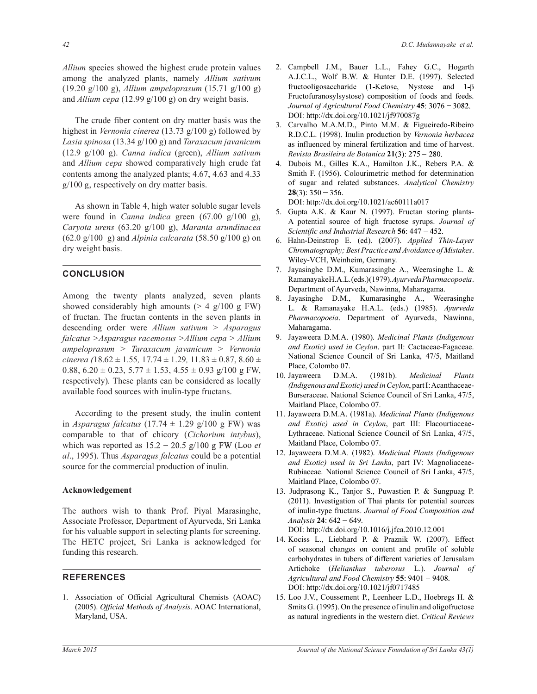*Allium* species showed the highest crude protein values among the analyzed plants, namely *Allium sativum*  (19.20 g/100 g), *Allium ampeloprasum* (15.71 g/100 g) and *Allium cepa* (12.99 g/100 g) on dry weight basis.

 The crude fiber content on dry matter basis was the highest in *Vernonia cinerea* (13.73 g/100 g) followed by *Lasia spinosa* (13.34 g/100 g) and *Taraxacum javanicum* (12.9 g/100 g). *Canna indica* (green), *Allium sativum* and *Allium cepa* showed comparatively high crude fat contents among the analyzed plants; 4.67, 4.63 and 4.33 g/100 g, respectively on dry matter basis.

 As shown in Table 4, high water soluble sugar levels were found in *Canna indica* green (67.00 g/100 g), *Caryota urens* (63.20 g/100 g), *Maranta arundinacea*  (62.0 g/100 g) and *Alpinia calcarata* (58.50 g/100 g) on dry weight basis.

# **CONCLUSION**

Among the twenty plants analyzed, seven plants showed considerably high amounts  $(> 4 \text{ g}/100 \text{ g FW})$ of fructan. The fructan contents in the seven plants in descending order were *Allium sativum > Asparagus falcatus >Asparagus racemosus >Allium cepa > Allium ampeloprasum > Taraxacum javanicum > Vernonia cinerea (*18.62 ± 1.55*,* 17.74 ± 1.29*,* 11.83 ± 0.87, 8.60 ± 0.88,  $6.20 \pm 0.23$ ,  $5.77 \pm 1.53$ ,  $4.55 \pm 0.93$  g/100 g FW, respectively). These plants can be considered as locally available food sources with inulin-type fructans.

 According to the present study, the inulin content in *Asparagus falcatus* (17.74  $\pm$  1.29 g/100 g FW) was comparable to that of chicory (*Cichorium intybus*), which was reported as  $15.2 - 20.5$  g/100 g FW (Loo *et al*., 1995). Thus *Asparagus falcatus* could be a potential source for the commercial production of inulin.

## **Acknowledgement**

The authors wish to thank Prof. Piyal Marasinghe, Associate Professor, Department of Ayurveda, Sri Lanka for his valuable support in selecting plants for screening. The HETC project, Sri Lanka is acknowledged for funding this research.

## **REFERENCES**

1. Association of Official Agricultural Chemists (AOAC) (2005). *Official Methods of Analysis*. AOAC International, Maryland, USA.

- 2. Campbell J.M., Bauer L.L., Fahey G.C., Hogarth A.J.C.L., Wolf B.W. & Hunter D.E. (1997). Selected fructooligosaccharide (1-Ketose, Nystose and 1- $\beta$ Fructofuranosylsystose) composition of foods and feeds. *Journal of Agricultural Food Chemistry* **45** DOI: http://dx.doi.org/10.1021/jf970087g
- 3. Carvalho M.A.M.D., Pinto M.M. & Figueiredo-Ribeiro R.D.C.L. (1998). Inulin production by *Vernonia herbacea* as influenced by mineral fertilization and time of harvest. *Revista Brasileira de Botanica* **21**
- 4. Dubois M., Gilles K.A., Hamilton J.K., Rebers P.A. & Smith F. (1956). Colourimetric method for determination of sugar and related substances. *Analytical Chemistry*  $28(3)$ : 350 - 356.

DOI: http://dx.doi.org/10.1021/ac60111a017

- 5. Gupta A.K. & Kaur N. (1997). Fructan storing plants-A potential source of high fructose syrups. *Journal of Scientific and Industrial Research* **56**
- 6. Hahn-Deinstrop E. (ed). (2007). *Applied Thin-Layer Chromatography; Best Practice and Avoidance of Mistakes*. Wiley-VCH, Weinheim, Germany.
- 7. Jayasinghe D.M., Kumarasinghe A., Weerasinghe L. & Ramanayake H.A.L. (eds.) (1979). *Ayurveda Pharmacopoeia*. Department of Ayurveda, Nawinna, Maharagama.
- 8. Jayasinghe D.M., Kumarasinghe A., Weerasinghe L. & Ramanayake H.A.L. (eds.) (1985). *Ayurveda Pharmacopoeia*. Department of Ayurveda, Nawinna, Maharagama.
- 9. Jayaweera D.M.A. (1980). *Medicinal Plants (Indigenous and Exotic) used in Ceylon*. part II: Cactaceae-Fagaceae. National Science Council of Sri Lanka, 47/5, Maitland Place, Colombo 07.
- 10. Jayaweera D.M.A. (1981b). *Medicinal Plants (Indigenous and Exotic) used in Ceylon*, part I: Acanthaceae-Burseraceae. National Science Council of Sri Lanka, 47/5, Maitland Place, Colombo 07.
- 11. Jayaweera D.M.A. (1981a). *Medicinal Plants (Indigenous and Exotic) used in Ceylon*, part III: Flacourtiaceae-Lythraceae. National Science Council of Sri Lanka, 47/5, Maitland Place, Colombo 07.
- 12. Jayaweera D.M.A. (1982). *Medicinal Plants (Indigenous and Exotic) used in Sri Lanka*, part IV: Magnoliaceae-Rubiaceae. National Science Council of Sri Lanka, 47/5, Maitland Place, Colombo 07.
- 13. Judprasong K., Tanjor S., Puwastien P. & Sungpuag P. (2011). Investigation of Thai plants for potential sources of inulin-type fructans. *Journal of Food Composition and Analysis* **24** DOI: http://dx.doi.org/10.1016/j.jfca.2010.12.001
- 14. Kociss L., Liebhard P. & Praznik W. (2007). Effect of seasonal changes on content and profile of soluble carbohydrates in tubers of different varieties of Jerusalam Artichoke (*Helianthus tuberosus* L.). *Journal of Agricultural and Food Chemistry* **55** DOI: http://dx.doi.org/10.1021/jf0717485
- 15. Loo J.V., Coussement P., Leenheer L.D., Hoebregs H. & Smits G. (1995). On the presence of inulin and oligofructose as natural ingredients in the western diet. *Critical Reviews*